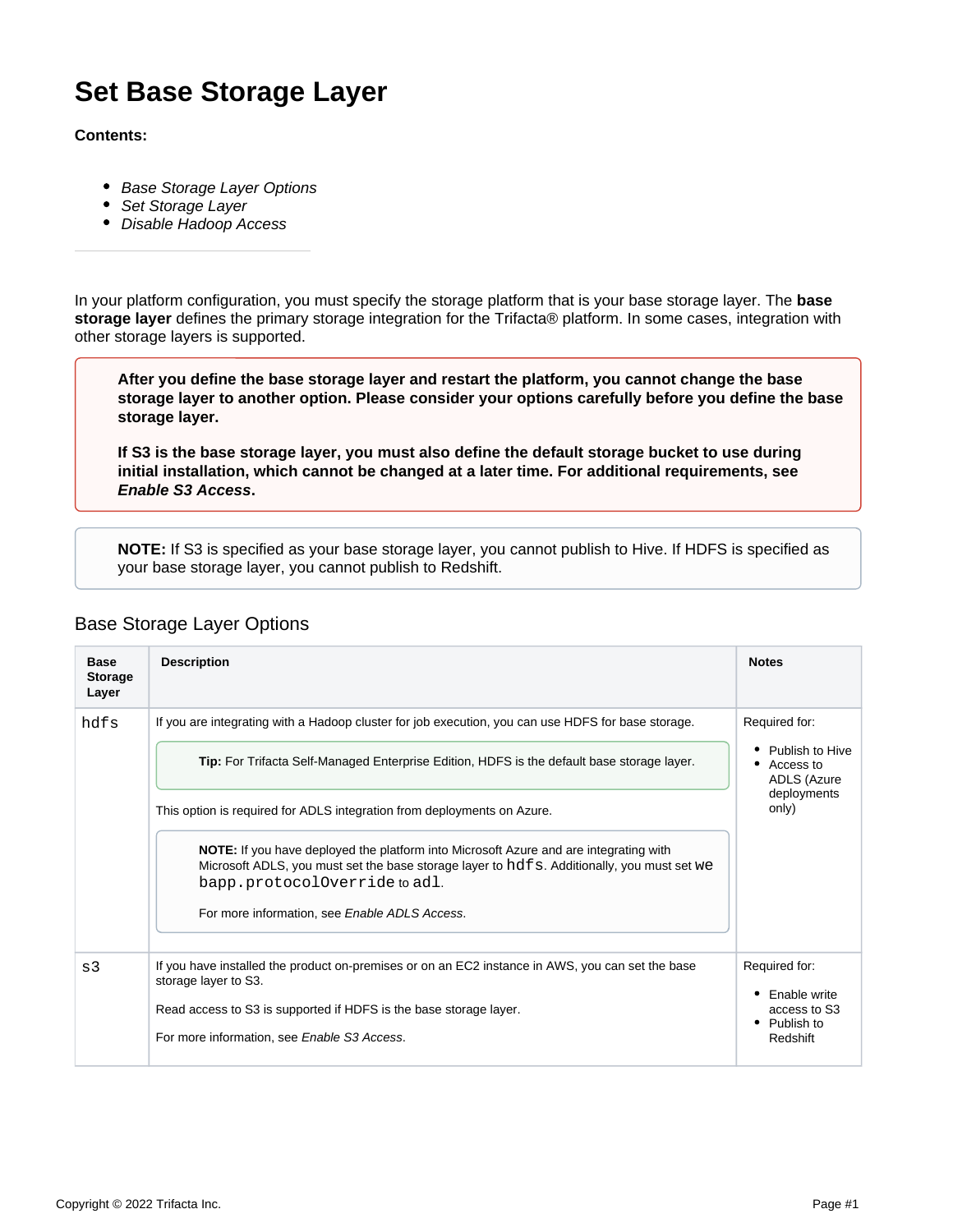# **Set Base Storage Layer**

#### **Contents:**

- [Base Storage Layer Options](#page-0-0)
- [Set Storage Layer](#page-1-0)
- [Disable Hadoop Access](#page-1-1)

In your platform configuration, you must specify the storage platform that is your base storage layer. The **base storage layer** defines the primary storage integration for the Trifacta® platform. In some cases, integration with other storage layers is supported.

**After you define the base storage layer and restart the platform, you cannot change the base storage layer to another option. Please consider your options carefully before you define the base storage layer.**

**If S3 is the base storage layer, you must also define the default storage bucket to use during initial installation, which cannot be changed at a later time. For additional requirements, see [Enable S3 Access](https://docs.trifacta.com/display/r050/Enable+S3+Access).**

**NOTE:** If S3 is specified as your base storage layer, you cannot publish to Hive. If HDFS is specified as your base storage layer, you cannot publish to Redshift.

| <b>Base</b><br><b>Storage</b><br>Layer | <b>Description</b>                                                                                                                                                                                                   | <b>Notes</b>                                                                         |
|----------------------------------------|----------------------------------------------------------------------------------------------------------------------------------------------------------------------------------------------------------------------|--------------------------------------------------------------------------------------|
| hdfs                                   | If you are integrating with a Hadoop cluster for job execution, you can use HDFS for base storage.                                                                                                                   | Required for:<br>Publish to Hive<br>Access to<br>ADLS (Azure<br>deployments<br>only) |
|                                        | Tip: For Trifacta Self-Managed Enterprise Edition, HDFS is the default base storage layer.                                                                                                                           |                                                                                      |
|                                        | This option is required for ADLS integration from deployments on Azure.                                                                                                                                              |                                                                                      |
|                                        | NOTE: If you have deployed the platform into Microsoft Azure and are integrating with<br>Microsoft ADLS, you must set the base storage layer to hdfs. Additionally, you must set we<br>bapp.protocolOverride to adl. |                                                                                      |
|                                        | For more information, see Enable ADLS Access.                                                                                                                                                                        |                                                                                      |
| s3                                     | If you have installed the product on-premises or on an EC2 instance in AWS, you can set the base<br>storage layer to S3.                                                                                             | Required for:                                                                        |
|                                        | Read access to S3 is supported if HDFS is the base storage layer.                                                                                                                                                    | Enable write<br>access to S3<br>Publish to<br>٠<br>Redshift                          |
|                                        | For more information, see Enable S3 Access.                                                                                                                                                                          |                                                                                      |

## <span id="page-0-0"></span>Base Storage Layer Options